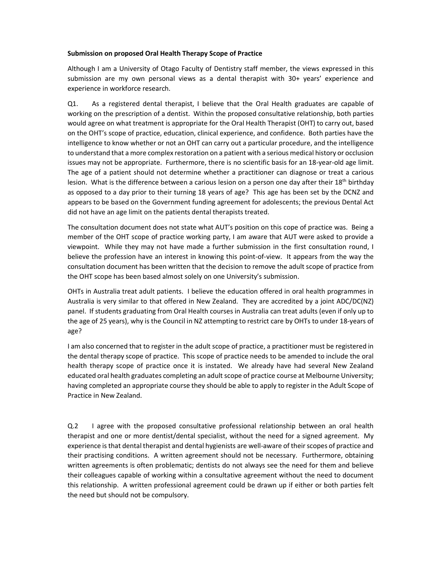## **Submission on proposed Oral Health Therapy Scope of Practice**

Although I am a University of Otago Faculty of Dentistry staff member, the views expressed in this submission are my own personal views as a dental therapist with 30+ years' experience and experience in workforce research.

Q1. As a registered dental therapist, I believe that the Oral Health graduates are capable of working on the prescription of a dentist. Within the proposed consultative relationship, both parties would agree on what treatment is appropriate for the Oral Health Therapist (OHT) to carry out, based on the OHT's scope of practice, education, clinical experience, and confidence. Both parties have the intelligence to know whether or not an OHT can carry out a particular procedure, and the intelligence to understand that a more complex restoration on a patient with a serious medical history or occlusion issues may not be appropriate. Furthermore, there is no scientific basis for an 18-year-old age limit. The age of a patient should not determine whether a practitioner can diagnose or treat a carious lesion. What is the difference between a carious lesion on a person one day after their  $18<sup>th</sup>$  birthday as opposed to a day prior to their turning 18 years of age? This age has been set by the DCNZ and appears to be based on the Government funding agreement for adolescents; the previous Dental Act did not have an age limit on the patients dental therapists treated.

The consultation document does not state what AUT's position on this cope of practice was. Being a member of the OHT scope of practice working party, I am aware that AUT were asked to provide a viewpoint. While they may not have made a further submission in the first consultation round, I believe the profession have an interest in knowing this point-of-view. It appears from the way the consultation document has been written that the decision to remove the adult scope of practice from the OHT scope has been based almost solely on one University's submission.

OHTs in Australia treat adult patients. I believe the education offered in oral health programmes in Australia is very similar to that offered in New Zealand. They are accredited by a joint ADC/DC(NZ) panel. If students graduating from Oral Health courses in Australia can treat adults (even if only up to the age of 25 years), why is the Council in NZ attempting to restrict care by OHTs to under 18-years of age?

I am also concerned that to register in the adult scope of practice, a practitioner must be registered in the dental therapy scope of practice. This scope of practice needs to be amended to include the oral health therapy scope of practice once it is instated. We already have had several New Zealand educated oral health graduates completing an adult scope of practice course at Melbourne University; having completed an appropriate course they should be able to apply to register in the Adult Scope of Practice in New Zealand.

Q.2 I agree with the proposed consultative professional relationship between an oral health therapist and one or more dentist/dental specialist, without the need for a signed agreement. My experience is that dental therapist and dental hygienists are well-aware of their scopes of practice and their practising conditions. A written agreement should not be necessary. Furthermore, obtaining written agreements is often problematic; dentists do not always see the need for them and believe their colleagues capable of working within a consultative agreement without the need to document this relationship. A written professional agreement could be drawn up if either or both parties felt the need but should not be compulsory.